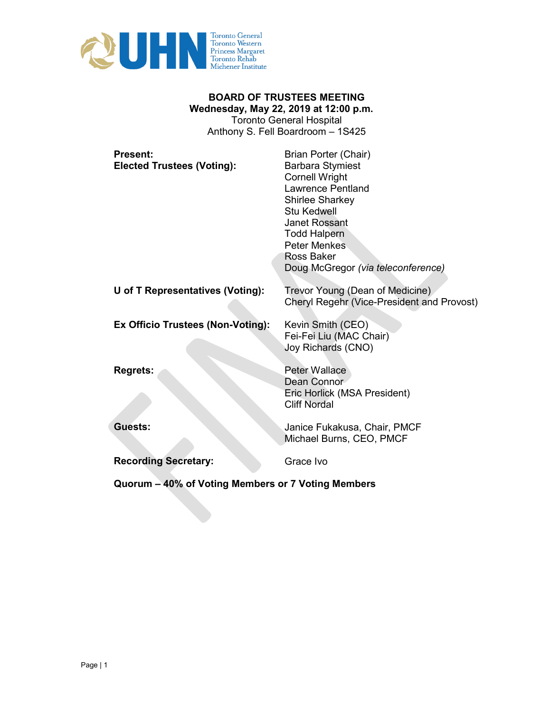

# **BOARD OF TRUSTEES MEETING Wednesday, May 22, 2019 at 12:00 p.m.**  Toronto General Hospital

Anthony S. Fell Boardroom – 1S425

| <b>Present:</b><br><b>Elected Trustees (Voting):</b> | Brian Porter (Chair)<br><b>Barbara Stymiest</b><br><b>Cornell Wright</b><br><b>Lawrence Pentland</b><br><b>Shirlee Sharkey</b><br>Stu Kedwell<br>Janet Rossant<br><b>Todd Halpern</b><br><b>Peter Menkes</b><br>Ross Baker<br>Doug McGregor (via teleconference) |
|------------------------------------------------------|------------------------------------------------------------------------------------------------------------------------------------------------------------------------------------------------------------------------------------------------------------------|
| U of T Representatives (Voting):                     | Trevor Young (Dean of Medicine)<br>Cheryl Regehr (Vice-President and Provost)                                                                                                                                                                                    |
| Ex Officio Trustees (Non-Voting):                    | Kevin Smith (CEO)<br>Fei-Fei Liu (MAC Chair)<br>Joy Richards (CNO)                                                                                                                                                                                               |
| <b>Regrets:</b>                                      | <b>Peter Wallace</b><br>Dean Connor<br>Eric Horlick (MSA President)<br><b>Cliff Nordal</b>                                                                                                                                                                       |
| <b>Guests:</b>                                       | Janice Fukakusa, Chair, PMCF<br>Michael Burns, CEO, PMCF                                                                                                                                                                                                         |
| <b>Recording Secretary:</b>                          | Grace Ivo                                                                                                                                                                                                                                                        |

**Quorum – 40% of Voting Members or 7 Voting Members**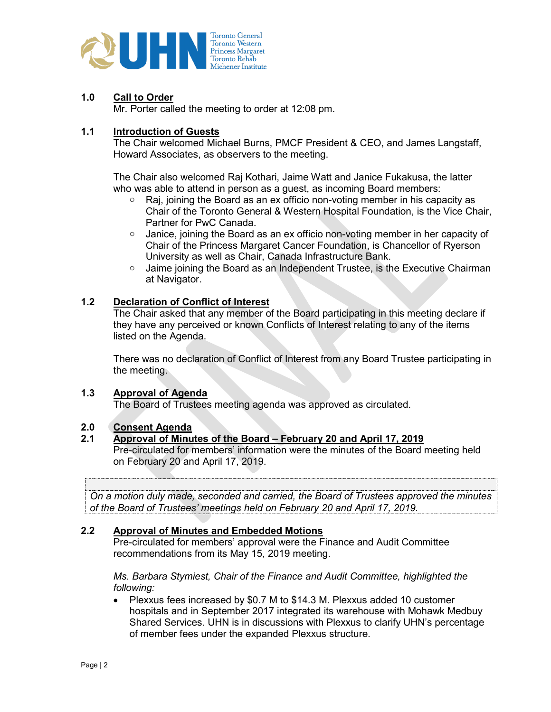

# **1.0 Call to Order**

Mr. Porter called the meeting to order at 12:08 pm.

### **1.1 Introduction of Guests**

The Chair welcomed Michael Burns, PMCF President & CEO, and James Langstaff, Howard Associates, as observers to the meeting.

The Chair also welcomed Raj Kothari, Jaime Watt and Janice Fukakusa, the latter who was able to attend in person as a guest, as incoming Board members:

- o Raj, joining the Board as an ex officio non-voting member in his capacity as Chair of the Toronto General & Western Hospital Foundation, is the Vice Chair, Partner for PwC Canada.
- $\circ$  Janice, joining the Board as an ex officio non-voting member in her capacity of Chair of the Princess Margaret Cancer Foundation, is Chancellor of Ryerson University as well as Chair, Canada Infrastructure Bank.
- $\circ$  Jaime joining the Board as an Independent Trustee, is the Executive Chairman at Navigator.

### **1.2 Declaration of Conflict of Interest**

The Chair asked that any member of the Board participating in this meeting declare if they have any perceived or known Conflicts of Interest relating to any of the items listed on the Agenda.

There was no declaration of Conflict of Interest from any Board Trustee participating in the meeting.

#### **1.3 Approval of Agenda**

The Board of Trustees meeting agenda was approved as circulated.

# **2.0 Consent Agenda**

#### **2.1 Approval of Minutes of the Board – February 20 and April 17, 2019**

Pre-circulated for members' information were the minutes of the Board meeting held on February 20 and April 17, 2019.

*BOARD MOTION On a motion duly made, seconded and carried, the Board of Trustees approved the minutes of the Board of Trustees' meetings held on February 20 and April 17, 2019.*

### **2.2 Approval of Minutes and Embedded Motions**

Pre-circulated for members' approval were the Finance and Audit Committee recommendations from its May 15, 2019 meeting.

*Ms. Barbara Stymiest, Chair of the Finance and Audit Committee, highlighted the following:* 

• Plexxus fees increased by \$0.7 M to \$14.3 M. Plexxus added 10 customer hospitals and in September 2017 integrated its warehouse with Mohawk Medbuy Shared Services. UHN is in discussions with Plexxus to clarify UHN's percentage of member fees under the expanded Plexxus structure.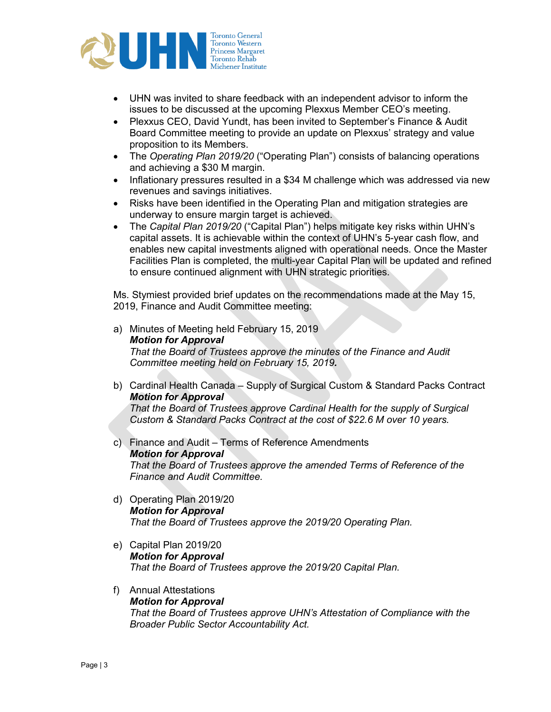

- UHN was invited to share feedback with an independent advisor to inform the issues to be discussed at the upcoming Plexxus Member CEO's meeting.
- Plexxus CEO, David Yundt, has been invited to September's Finance & Audit Board Committee meeting to provide an update on Plexxus' strategy and value proposition to its Members.
- The *Operating Plan 2019/20* ("Operating Plan") consists of balancing operations and achieving a \$30 M margin.
- Inflationary pressures resulted in a \$34 M challenge which was addressed via new revenues and savings initiatives.
- Risks have been identified in the Operating Plan and mitigation strategies are underway to ensure margin target is achieved.
- The *Capital Plan 2019/20* ("Capital Plan") helps mitigate key risks within UHN's capital assets. It is achievable within the context of UHN's 5-year cash flow, and enables new capital investments aligned with operational needs. Once the Master Facilities Plan is completed, the multi-year Capital Plan will be updated and refined to ensure continued alignment with UHN strategic priorities.

Ms. Stymiest provided brief updates on the recommendations made at the May 15, 2019, Finance and Audit Committee meeting:

- a) Minutes of Meeting held February 15, 2019 *Motion for Approval That the Board of Trustees approve the minutes of the Finance and Audit Committee meeting held on February 15, 2019.*
- b) Cardinal Health Canada Supply of Surgical Custom & Standard Packs Contract *Motion for Approval That the Board of Trustees approve Cardinal Health for the supply of Surgical Custom & Standard Packs Contract at the cost of \$22.6 M over 10 years.*
- c) Finance and Audit Terms of Reference Amendments *Motion for Approval That the Board of Trustees approve the amended Terms of Reference of the Finance and Audit Committee.*
- d) Operating Plan 2019/20 *Motion for Approval That the Board of Trustees approve the 2019/20 Operating Plan.*
- e) Capital Plan 2019/20 *Motion for Approval That the Board of Trustees approve the 2019/20 Capital Plan.*
- f) Annual Attestations *Motion for Approval That the Board of Trustees approve UHN's Attestation of Compliance with the Broader Public Sector Accountability Act.*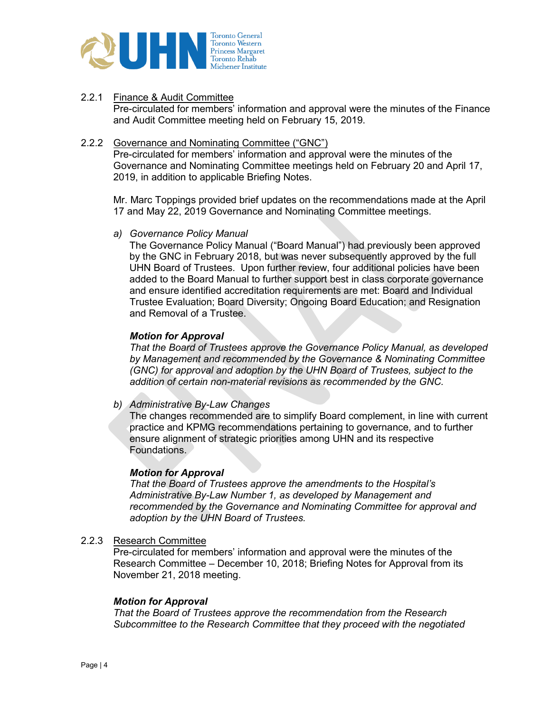

### 2.2.1 Finance & Audit Committee

Pre-circulated for members' information and approval were the minutes of the Finance and Audit Committee meeting held on February 15, 2019.

#### 2.2.2 Governance and Nominating Committee ("GNC")

Pre-circulated for members' information and approval were the minutes of the Governance and Nominating Committee meetings held on February 20 and April 17, 2019, in addition to applicable Briefing Notes.

Mr. Marc Toppings provided brief updates on the recommendations made at the April 17 and May 22, 2019 Governance and Nominating Committee meetings.

#### *a) Governance Policy Manual*

The Governance Policy Manual ("Board Manual") had previously been approved by the GNC in February 2018, but was never subsequently approved by the full UHN Board of Trustees. Upon further review, four additional policies have been added to the Board Manual to further support best in class corporate governance and ensure identified accreditation requirements are met: Board and Individual Trustee Evaluation; Board Diversity; Ongoing Board Education; and Resignation and Removal of a Trustee.

#### *Motion for Approval*

*That the Board of Trustees approve the Governance Policy Manual, as developed by Management and recommended by the Governance & Nominating Committee (GNC) for approval and adoption by the UHN Board of Trustees, subject to the addition of certain non-material revisions as recommended by the GNC.*

*b) Administrative By-Law Changes*

The changes recommended are to simplify Board complement, in line with current practice and KPMG recommendations pertaining to governance, and to further ensure alignment of strategic priorities among UHN and its respective Foundations.

#### *Motion for Approval*

*That the Board of Trustees approve the amendments to the Hospital's Administrative By-Law Number 1, as developed by Management and recommended by the Governance and Nominating Committee for approval and adoption by the UHN Board of Trustees.*

#### 2.2.3 Research Committee

Pre-circulated for members' information and approval were the minutes of the Research Committee – December 10, 2018; Briefing Notes for Approval from its November 21, 2018 meeting.

#### *Motion for Approval*

*That the Board of Trustees approve the recommendation from the Research Subcommittee to the Research Committee that they proceed with the negotiated*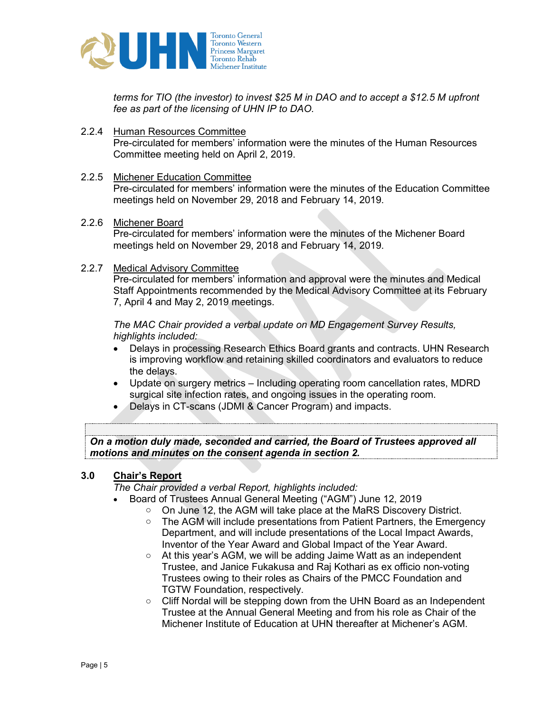

*terms for TIO (the investor) to invest \$25 M in DAO and to accept a \$12.5 M upfront fee as part of the licensing of UHN IP to DAO.*

2.2.4 Human Resources Committee Pre-circulated for members' information were the minutes of the Human Resources Committee meeting held on April 2, 2019.

# 2.2.5 Michener Education Committee

Pre-circulated for members' information were the minutes of the Education Committee meetings held on November 29, 2018 and February 14, 2019.

2.2.6 Michener Board

Pre-circulated for members' information were the minutes of the Michener Board meetings held on November 29, 2018 and February 14, 2019.

2.2.7 Medical Advisory Committee

Pre-circulated for members' information and approval were the minutes and Medical Staff Appointments recommended by the Medical Advisory Committee at its February 7, April 4 and May 2, 2019 meetings.

*The MAC Chair provided a verbal update on MD Engagement Survey Results, highlights included:*

- Delays in processing Research Ethics Board grants and contracts. UHN Research is improving workflow and retaining skilled coordinators and evaluators to reduce the delays.
- Update on surgery metrics Including operating room cancellation rates, MDRD surgical site infection rates, and ongoing issues in the operating room.
- Delays in CT-scans (JDMI & Cancer Program) and impacts.

*BOARD MOTION On a motion duly made, seconded and carried, the Board of Trustees approved all motions and minutes on the consent agenda in section 2.*

#### **3.0 Chair's Report**

*The Chair provided a verbal Report, highlights included:*

- Board of Trustees Annual General Meeting ("AGM") June 12, 2019
	- o On June 12, the AGM will take place at the MaRS Discovery District.
	- $\circ$  The AGM will include presentations from Patient Partners, the Emergency Department, and will include presentations of the Local Impact Awards, Inventor of the Year Award and Global Impact of the Year Award.
	- o At this year's AGM, we will be adding Jaime Watt as an independent Trustee, and Janice Fukakusa and Raj Kothari as ex officio non-voting Trustees owing to their roles as Chairs of the PMCC Foundation and TGTW Foundation, respectively.
	- $\circ$  Cliff Nordal will be stepping down from the UHN Board as an Independent Trustee at the Annual General Meeting and from his role as Chair of the Michener Institute of Education at UHN thereafter at Michener's AGM.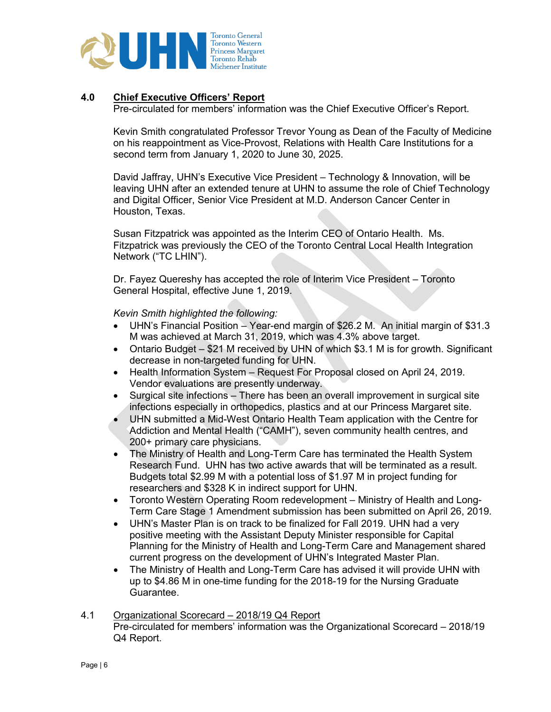

# **4.0 Chief Executive Officers' Report**

Pre-circulated for members' information was the Chief Executive Officer's Report.

Kevin Smith congratulated Professor Trevor Young as Dean of the Faculty of Medicine on his reappointment as Vice-Provost, Relations with Health Care Institutions for a second term from January 1, 2020 to June 30, 2025.

David Jaffray, UHN's Executive Vice President – Technology & Innovation, will be leaving UHN after an extended tenure at UHN to assume the role of Chief Technology and Digital Officer, Senior Vice President at M.D. Anderson Cancer Center in Houston, Texas.

Susan Fitzpatrick was appointed as the Interim CEO of Ontario Health. Ms. Fitzpatrick was previously the CEO of the Toronto Central Local Health Integration Network ("TC LHIN").

Dr. Fayez Quereshy has accepted the role of Interim Vice President – Toronto General Hospital, effective June 1, 2019.

*Kevin Smith highlighted the following:* 

- UHN's Financial Position Year-end margin of \$26.2 M. An initial margin of \$31.3 M was achieved at March 31, 2019, which was 4.3% above target.
- Ontario Budget \$21 M received by UHN of which \$3.1 M is for growth. Significant decrease in non-targeted funding for UHN.
- Health Information System Request For Proposal closed on April 24, 2019. Vendor evaluations are presently underway.
- Surgical site infections There has been an overall improvement in surgical site infections especially in orthopedics, plastics and at our Princess Margaret site.
- UHN submitted a Mid-West Ontario Health Team application with the Centre for Addiction and Mental Health ("CAMH"), seven community health centres, and 200+ primary care physicians.
- The Ministry of Health and Long-Term Care has terminated the Health System Research Fund. UHN has two active awards that will be terminated as a result. Budgets total \$2.99 M with a potential loss of \$1.97 M in project funding for researchers and \$328 K in indirect support for UHN.
- Toronto Western Operating Room redevelopment Ministry of Health and Long-Term Care Stage 1 Amendment submission has been submitted on April 26, 2019.
- UHN's Master Plan is on track to be finalized for Fall 2019. UHN had a very positive meeting with the Assistant Deputy Minister responsible for Capital Planning for the Ministry of Health and Long-Term Care and Management shared current progress on the development of UHN's Integrated Master Plan.
- The Ministry of Health and Long-Term Care has advised it will provide UHN with up to \$4.86 M in one-time funding for the 2018-19 for the Nursing Graduate Guarantee.
- 4.1 Organizational Scorecard 2018/19 Q4 Report Pre-circulated for members' information was the Organizational Scorecard – 2018/19 Q4 Report.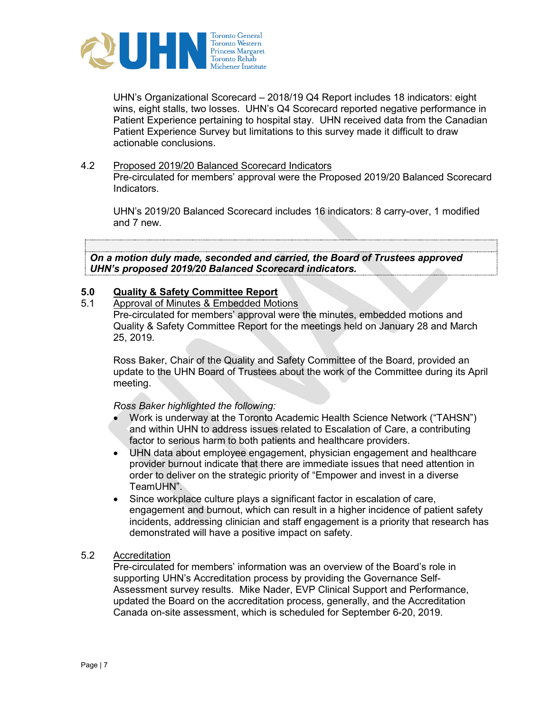

UHN's Organizational Scorecard – 2018/19 Q4 Report includes 18 indicators: eight wins, eight stalls, two losses. UHN's Q4 Scorecard reported negative performance in Patient Experience pertaining to hospital stay. UHN received data from the Canadian Patient Experience Survey but limitations to this survey made it difficult to draw actionable conclusions.

### 4.2 Proposed 2019/20 Balanced Scorecard Indicators

Pre-circulated for members' approval were the Proposed 2019/20 Balanced Scorecard Indicators.

UHN's 2019/20 Balanced Scorecard includes 16 indicators: 8 carry-over, 1 modified and 7 new.

*BOARD MOTION On a motion duly made, seconded and carried, the Board of Trustees approved UHN's proposed 2019/20 Balanced Scorecard indicators.*

# **5.0 Quality & Safety Committee Report**

Approval of Minutes & Embedded Motions

Pre-circulated for members' approval were the minutes, embedded motions and Quality & Safety Committee Report for the meetings held on January 28 and March 25, 2019.

Ross Baker, Chair of the Quality and Safety Committee of the Board, provided an update to the UHN Board of Trustees about the work of the Committee during its April meeting.

#### *Ross Baker highlighted the following:*

- Work is underway at the Toronto Academic Health Science Network ("TAHSN") and within UHN to address issues related to Escalation of Care, a contributing factor to serious harm to both patients and healthcare providers.
- UHN data about employee engagement, physician engagement and healthcare provider burnout indicate that there are immediate issues that need attention in order to deliver on the strategic priority of "Empower and invest in a diverse TeamUHN".
- Since workplace culture plays a significant factor in escalation of care, engagement and burnout, which can result in a higher incidence of patient safety incidents, addressing clinician and staff engagement is a priority that research has demonstrated will have a positive impact on safety.

#### 5.2 Accreditation

Pre-circulated for members' information was an overview of the Board's role in supporting UHN's Accreditation process by providing the Governance Self-Assessment survey results. Mike Nader, EVP Clinical Support and Performance, updated the Board on the accreditation process, generally, and the Accreditation Canada on-site assessment, which is scheduled for September 6-20, 2019.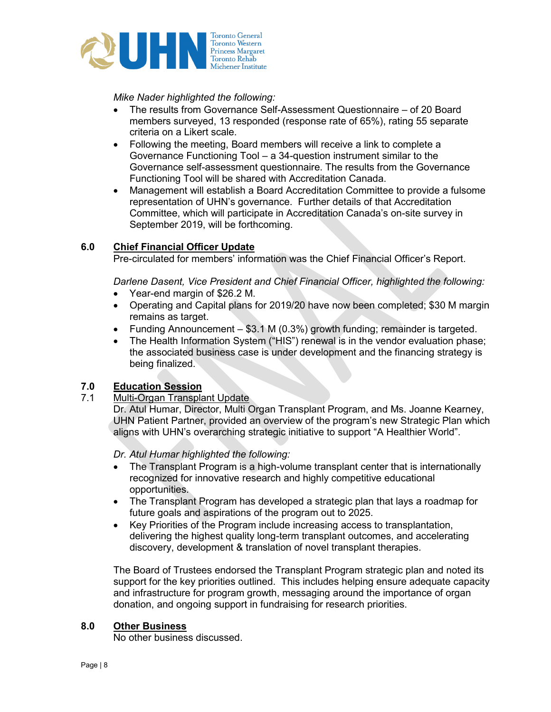

*Mike Nader highlighted the following:*

- The results from Governance Self-Assessment Questionnaire of 20 Board members surveyed, 13 responded (response rate of 65%), rating 55 separate criteria on a Likert scale.
- Following the meeting, Board members will receive a link to complete a Governance Functioning Tool – a 34-question instrument similar to the Governance self-assessment questionnaire. The results from the Governance Functioning Tool will be shared with Accreditation Canada.
- Management will establish a Board Accreditation Committee to provide a fulsome representation of UHN's governance. Further details of that Accreditation Committee, which will participate in Accreditation Canada's on-site survey in September 2019, will be forthcoming.

# **6.0 Chief Financial Officer Update**

Pre-circulated for members' information was the Chief Financial Officer's Report.

*Darlene Dasent, Vice President and Chief Financial Officer, highlighted the following:* 

- Year-end margin of \$26.2 M.
- Operating and Capital plans for 2019/20 have now been completed; \$30 M margin remains as target.
- Funding Announcement \$3.1 M (0.3%) growth funding; remainder is targeted.
- The Health Information System ("HIS") renewal is in the vendor evaluation phase; the associated business case is under development and the financing strategy is being finalized.

# **7.0 Education Session**

# 7.1 Multi-Organ Transplant Update

Dr. Atul Humar, Director, Multi Organ Transplant Program, and Ms. Joanne Kearney, UHN Patient Partner, provided an overview of the program's new Strategic Plan which aligns with UHN's overarching strategic initiative to support "A Healthier World".

*Dr. Atul Humar highlighted the following:* 

- The Transplant Program is a high-volume transplant center that is internationally recognized for innovative research and highly competitive educational opportunities.
- The Transplant Program has developed a strategic plan that lays a roadmap for future goals and aspirations of the program out to 2025.
- Key Priorities of the Program include increasing access to transplantation, delivering the highest quality long-term transplant outcomes, and accelerating discovery, development & translation of novel transplant therapies.

The Board of Trustees endorsed the Transplant Program strategic plan and noted its support for the key priorities outlined. This includes helping ensure adequate capacity and infrastructure for program growth, messaging around the importance of organ donation, and ongoing support in fundraising for research priorities.

# **8.0 Other Business**

No other business discussed.